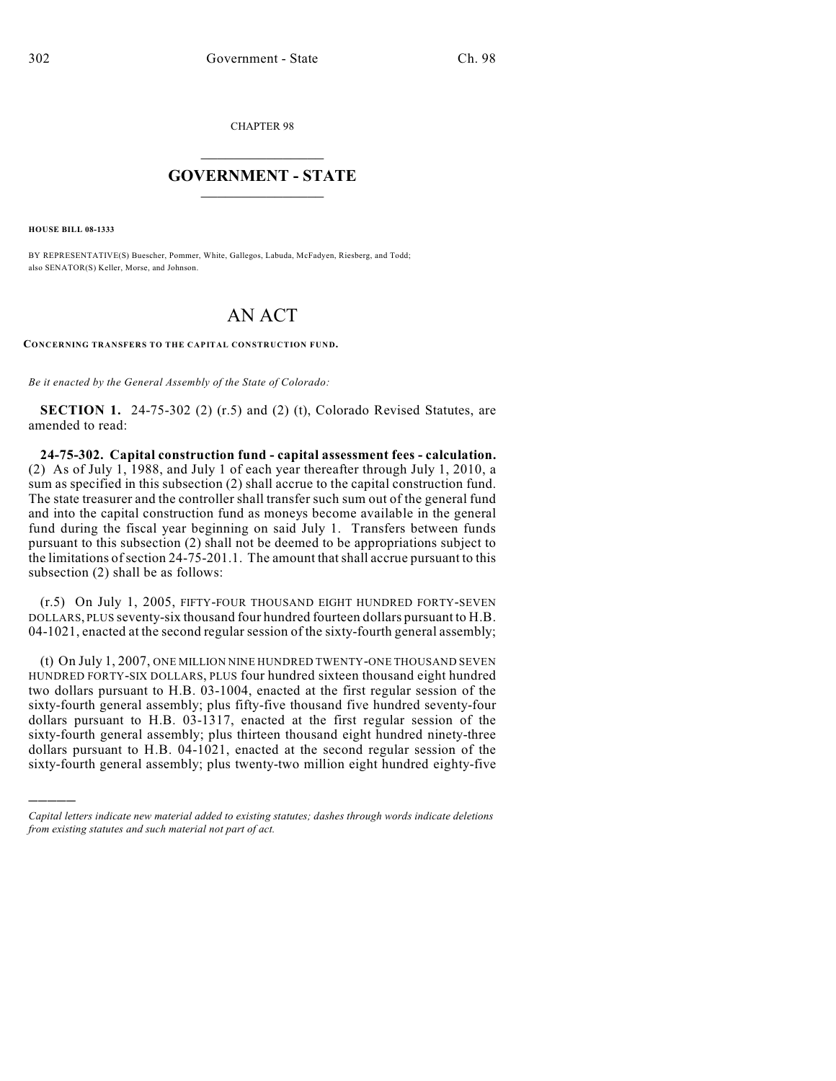CHAPTER 98

## $\overline{\phantom{a}}$  . The set of the set of the set of the set of the set of the set of the set of the set of the set of the set of the set of the set of the set of the set of the set of the set of the set of the set of the set o **GOVERNMENT - STATE**  $\_$

**HOUSE BILL 08-1333**

)))))

BY REPRESENTATIVE(S) Buescher, Pommer, White, Gallegos, Labuda, McFadyen, Riesberg, and Todd; also SENATOR(S) Keller, Morse, and Johnson.

## AN ACT

**CONCERNING TRANSFERS TO THE CAPITAL CONSTRUCTION FUND.**

*Be it enacted by the General Assembly of the State of Colorado:*

**SECTION 1.** 24-75-302 (2) (r.5) and (2) (t), Colorado Revised Statutes, are amended to read:

**24-75-302. Capital construction fund - capital assessment fees - calculation.** (2) As of July 1, 1988, and July 1 of each year thereafter through July 1, 2010, a sum as specified in this subsection (2) shall accrue to the capital construction fund. The state treasurer and the controller shall transfer such sum out of the general fund and into the capital construction fund as moneys become available in the general fund during the fiscal year beginning on said July 1. Transfers between funds pursuant to this subsection (2) shall not be deemed to be appropriations subject to the limitations of section 24-75-201.1. The amount that shall accrue pursuant to this subsection (2) shall be as follows:

(r.5) On July 1, 2005, FIFTY-FOUR THOUSAND EIGHT HUNDRED FORTY-SEVEN DOLLARS, PLUS seventy-six thousand four hundred fourteen dollars pursuant to H.B. 04-1021, enacted at the second regular session of the sixty-fourth general assembly;

(t) On July 1, 2007, ONE MILLION NINE HUNDRED TWENTY-ONE THOUSAND SEVEN HUNDRED FORTY-SIX DOLLARS, PLUS four hundred sixteen thousand eight hundred two dollars pursuant to H.B. 03-1004, enacted at the first regular session of the sixty-fourth general assembly; plus fifty-five thousand five hundred seventy-four dollars pursuant to H.B. 03-1317, enacted at the first regular session of the sixty-fourth general assembly; plus thirteen thousand eight hundred ninety-three dollars pursuant to H.B. 04-1021, enacted at the second regular session of the sixty-fourth general assembly; plus twenty-two million eight hundred eighty-five

*Capital letters indicate new material added to existing statutes; dashes through words indicate deletions from existing statutes and such material not part of act.*